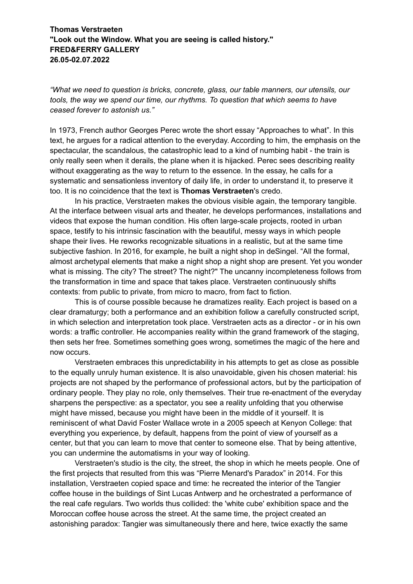## **Thomas Verstraeten "Look out the Window. What you are seeing is called history." FRED&FERRY GALLERY 26.05-02.07.2022**

*"What we need to question is bricks, concrete, glass, our table manners, our utensils, our tools, the way we spend our time, our rhythms. To question that which seems to have ceased forever to astonish us."*

In 1973, French author Georges Perec wrote the short essay "Approaches to what". In this text, he argues for a radical attention to the everyday. According to him, the emphasis on the spectacular, the scandalous, the catastrophic lead to a kind of numbing habit - the train is only really seen when it derails, the plane when it is hijacked. Perec sees describing reality without exaggerating as the way to return to the essence. In the essay, he calls for a systematic and sensationless inventory of daily life, in order to understand it, to preserve it too. It is no coincidence that the text is **Thomas Verstraeten**'s credo.

In his practice, Verstraeten makes the obvious visible again, the temporary tangible. At the interface between visual arts and theater, he develops performances, installations and videos that expose the human condition. His often large-scale projects, rooted in urban space, testify to his intrinsic fascination with the beautiful, messy ways in which people shape their lives. He reworks recognizable situations in a realistic, but at the same time subjective fashion. In 2016, for example, he built a night shop in deSingel. "All the formal, almost archetypal elements that make a night shop a night shop are present. Yet you wonder what is missing. The city? The street? The night?" The uncanny incompleteness follows from the transformation in time and space that takes place. Verstraeten continuously shifts contexts: from public to private, from micro to macro, from fact to fiction.

This is of course possible because he dramatizes reality. Each project is based on a clear dramaturgy; both a performance and an exhibition follow a carefully constructed script, in which selection and interpretation took place. Verstraeten acts as a director - or in his own words: a traffic controller. He accompanies reality within the grand framework of the staging, then sets her free. Sometimes something goes wrong, sometimes the magic of the here and now occurs.

Verstraeten embraces this unpredictability in his attempts to get as close as possible to the equally unruly human existence. It is also unavoidable, given his chosen material: his projects are not shaped by the performance of professional actors, but by the participation of ordinary people. They play no role, only themselves. Their true re-enactment of the everyday sharpens the perspective: as a spectator, you see a reality unfolding that you otherwise might have missed, because you might have been in the middle of it yourself. It is reminiscent of what David Foster Wallace wrote in a 2005 speech at Kenyon College: that everything you experience, by default, happens from the point of view of yourself as a center, but that you can learn to move that center to someone else. That by being attentive, you can undermine the automatisms in your way of looking.

Verstraeten's studio is the city, the street, the shop in which he meets people. One of the first projects that resulted from this was "Pierre Menard's Paradox" in 2014. For this installation, Verstraeten copied space and time: he recreated the interior of the Tangier coffee house in the buildings of Sint Lucas Antwerp and he orchestrated a performance of the real cafe regulars. Two worlds thus collided: the 'white cube' exhibition space and the Moroccan coffee house across the street. At the same time, the project created an astonishing paradox: Tangier was simultaneously there and here, twice exactly the same